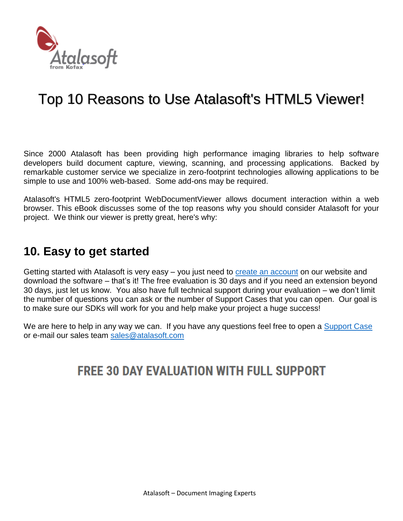

# Top 10 Reasons to Use Atalasoft's HTML5 Viewer!

Since 2000 Atalasoft has been providing high performance imaging libraries to help software developers build document capture, viewing, scanning, and processing applications. Backed by remarkable customer service we specialize in zero-footprint technologies allowing applications to be simple to use and 100% web-based. Some add-ons may be required.

Atalasoft's HTML5 zero-footprint WebDocumentViewer allows document interaction within a web browser. This eBook discusses some of the top reasons why you should consider Atalasoft for your project. We think our viewer is pretty great, here's why:

#### **10. Easy to get started**

Getting started with Atalasoft is very easy – you just need to [create an account](https://www.atalasoft.com/DownloadRegistration) on our website and download the software – that's it! The free evaluation is 30 days and if you need an extension beyond 30 days, just let us know. You also have full technical support during your evaluation – we don't limit the number of questions you can ask or the number of Support Cases that you can open. Our goal is to make sure our SDKs will work for you and help make your project a huge success!

We are here to help in any way we can. If you have any questions feel free to open a [Support Case](https://www.atalasoft.com/Support) or e-mail our sales team [sales@atalasoft.com](mailto:sales@atalasoft.com)

# **FREE 30 DAY EVALUATION WITH FULL SUPPORT**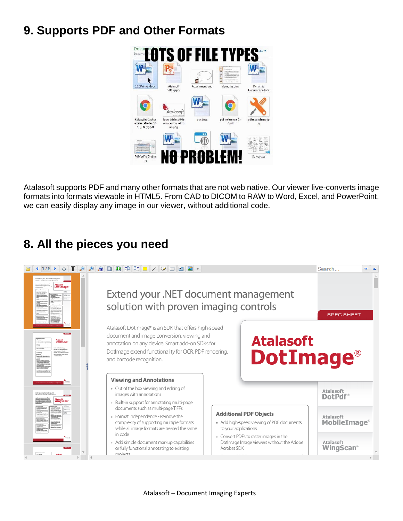### **9. Supports PDF and Other Formats**



Atalasoft supports PDF and many other formats that are not web native. Our viewer live-converts image formats into formats viewable in HTML5. From CAD to DICOM to RAW to Word, Excel, and PowerPoint, we can easily display any image in our viewer, without additional code.

### **8. All the pieces you need**

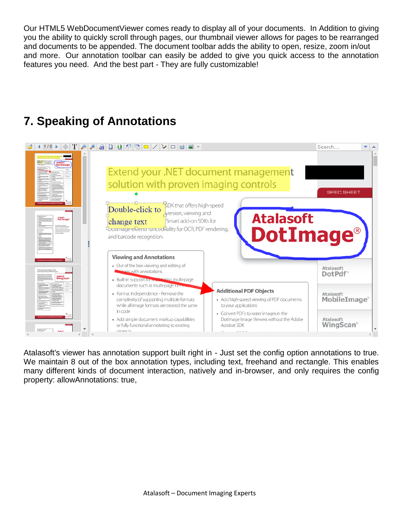Our HTML5 WebDocumentViewer comes ready to display all of your documents. In Addition to giving you the ability to quickly scroll through pages, our thumbnail viewer allows for pages to be rearranged and documents to be appended. The document toolbar adds the ability to open, resize, zoom in/out and more. Our annotation toolbar can easily be added to give you quick access to the annotation features you need. And the best part - They are fully customizable!

# **7. Speaking of Annotations**



Atalasoft's viewer has annotation support built right in - Just set the config option annotations to true. We maintain 8 out of the box annotation types, including text, freehand and rectangle. This enables many different kinds of document interaction, natively and in-browser, and only requires the config property: allowAnnotations: true,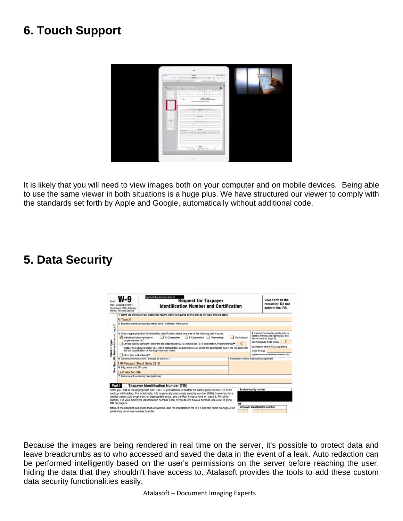### **6. Touch Support**



It is likely that you will need to view images both on your computer and on mobile devices. Being able to use the same viewer in both situations is a huge plus. We have structured our viewer to comply with the standards set forth by Apple and Google, automatically without additional code.

#### **5. Data Security**



Because the images are being rendered in real time on the server, it's possible to protect data and leave breadcrumbs as to who accessed and saved the data in the event of a leak. Auto redaction can be performed intelligently based on the user's permissions on the server before reaching the user, hiding the data that they shouldn't have access to. Atalasoft provides the tools to add these custom data security functionalities easily.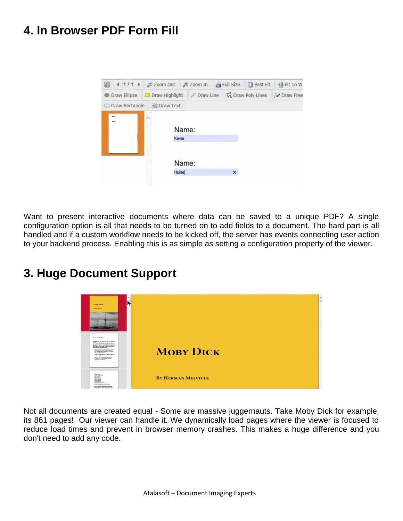### **4. In Browser PDF Form Fill**



Want to present interactive documents where data can be saved to a unique PDF? A single configuration option is all that needs to be turned on to add fields to a document. The hard part is all handled and if a custom workflow needs to be kicked off, the server has events connecting user action to your backend process. Enabling this is as simple as setting a configuration property of the viewer.

#### **3. Huge Document Support**



Not all documents are created equal - Some are massive juggernauts. Take Moby Dick for example, its 861 pages! Our viewer can handle it. We dynamically load pages where the viewer is focused to reduce load times and prevent in browser memory crashes. This makes a huge difference and you don't need to add any code.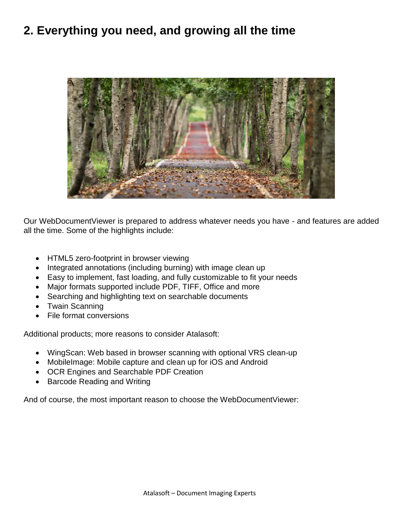#### **2. Everything you need, and growing all the time**



Our WebDocumentViewer is prepared to address whatever needs you have - and features are added all the time. Some of the highlights include:

- HTML5 zero-footprint in browser viewing
- Integrated annotations (including burning) with image clean up
- Easy to implement, fast loading, and fully customizable to fit your needs
- Major formats supported include PDF, TIFF, Office and more
- Searching and highlighting text on searchable documents
- Twain Scanning
- File format conversions

Additional products; more reasons to consider Atalasoft:

- WingScan: Web based in browser scanning with optional VRS clean-up
- MobileImage: Mobile capture and clean up for iOS and Android
- OCR Engines and Searchable PDF Creation
- Barcode Reading and Writing

And of course, the most important reason to choose the WebDocumentViewer: